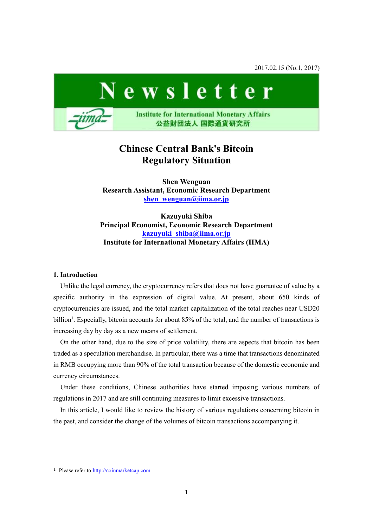2017.02.15 (No.1, 2017)



# **Chinese Central Bank's Bitcoin Regulatory Situation**

**Shen Wenguan Research Assistant, Economic Research Department [shen\\_wenguan@iima.or.jp](mailto:shen_wenguan@iima.or.jp)**

**Kazuyuki Shiba Principal Economist, Economic Research Department [kazuyuki\\_shiba@iima.or.jp](mailto:kazuyuki_shiba@iima.or.jp) Institute for International Monetary Affairs (IIMA)**

## **1. Introduction**

Unlike the legal currency, the cryptocurrency refers that does not have guarantee of value by a specific authority in the expression of digital value. At present, about 650 kinds of cryptocurrencies are issued, and the total market capitalization of the total reaches near USD20 billion<sup>1</sup>. Especially, bitcoin accounts for about 85% of the total, and the number of transactions is increasing day by day as a new means of settlement.

On the other hand, due to the size of price volatility, there are aspects that bitcoin has been traded as a speculation merchandise. In particular, there was a time that transactions denominated in RMB occupying more than 90% of the total transaction because of the domestic economic and currency circumstances.

Under these conditions, Chinese authorities have started imposing various numbers of regulations in 2017 and are still continuing measures to limit excessive transactions.

In this article, I would like to review the history of various regulations concerning bitcoin in the past, and consider the change of the volumes of bitcoin transactions accompanying it.

-

<sup>&</sup>lt;sup>1</sup> Please refer to [http://coinmarketcap.com](http://coinmarketcap.com/)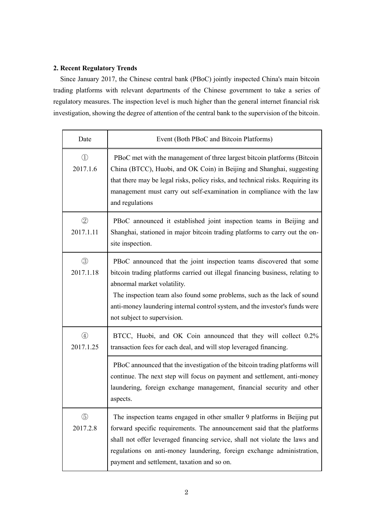# **2. Recent Regulatory Trends**

Since January 2017, the Chinese central bank (PBoC) jointly inspected China's main bitcoin trading platforms with relevant departments of the Chinese government to take a series of regulatory measures. The inspection level is much higher than the general internet financial risk investigation, showing the degree of attention of the central bank to the supervision of the bitcoin.

| Date                          | Event (Both PBoC and Bitcoin Platforms)                                                                                                                                                                                                                                                                                                                                       |
|-------------------------------|-------------------------------------------------------------------------------------------------------------------------------------------------------------------------------------------------------------------------------------------------------------------------------------------------------------------------------------------------------------------------------|
| $\textcircled{1}$<br>2017.1.6 | PBoC met with the management of three largest bitcoin platforms (Bitcoin<br>China (BTCC), Huobi, and OK Coin) in Beijing and Shanghai, suggesting<br>that there may be legal risks, policy risks, and technical risks. Requiring its<br>management must carry out self-examination in compliance with the law<br>and regulations                                              |
| $\circled{2}$<br>2017.1.11    | PBoC announced it established joint inspection teams in Beijing and<br>Shanghai, stationed in major bitcoin trading platforms to carry out the on-<br>site inspection.                                                                                                                                                                                                        |
| (3)<br>2017.1.18              | PBoC announced that the joint inspection teams discovered that some<br>bitcoin trading platforms carried out illegal financing business, relating to<br>abnormal market volatility.<br>The inspection team also found some problems, such as the lack of sound<br>anti-money laundering internal control system, and the investor's funds were<br>not subject to supervision. |
| $\circled{4}$<br>2017.1.25    | BTCC, Huobi, and OK Coin announced that they will collect 0.2%<br>transaction fees for each deal, and will stop leveraged financing.                                                                                                                                                                                                                                          |
|                               | PBoC announced that the investigation of the bitcoin trading platforms will<br>continue. The next step will focus on payment and settlement, anti-money<br>laundering, foreign exchange management, financial security and other<br>aspects.                                                                                                                                  |
| $\circledS$<br>2017.2.8       | The inspection teams engaged in other smaller 9 platforms in Beijing put<br>forward specific requirements. The announcement said that the platforms<br>shall not offer leveraged financing service, shall not violate the laws and<br>regulations on anti-money laundering, foreign exchange administration,<br>payment and settlement, taxation and so on.                   |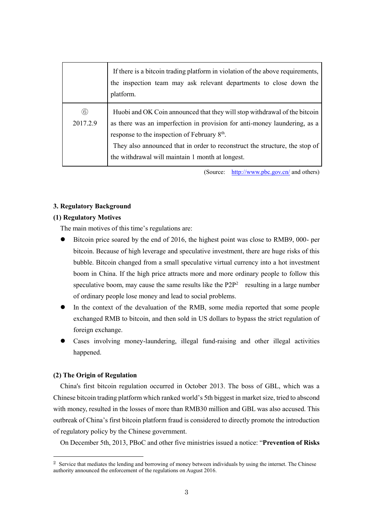|                           | If there is a bitcoin trading platform in violation of the above requirements,<br>the inspection team may ask relevant departments to close down the<br>platform.                                                                                                                                                                                     |
|---------------------------|-------------------------------------------------------------------------------------------------------------------------------------------------------------------------------------------------------------------------------------------------------------------------------------------------------------------------------------------------------|
| $\circled{6}$<br>2017.2.9 | Huobi and OK Coin announced that they will stop withdrawal of the bitcoin<br>as there was an imperfection in provision for anti-money laundering, as a<br>response to the inspection of February 8 <sup>th</sup> .<br>They also announced that in order to reconstruct the structure, the stop of<br>the withdrawal will maintain 1 month at longest. |

(Source: <http://www.pbc.gov.cn/> and others)

#### **3. Regulatory Background**

#### **(1) Regulatory Motives**

The main motives of this time's regulations are:

- Bitcoin price soared by the end of 2016, the highest point was close to RMB9, 000- per bitcoin. Because of high leverage and speculative investment, there are huge risks of this bubble. Bitcoin changed from a small speculative virtual currency into a hot investment boom in China. If the high price attracts more and more ordinary people to follow this speculative boom, may cause the same results like the  $P2P<sup>2</sup>$  resulting in a large number of ordinary people lose money and lead to social problems.
- In the context of the devaluation of the RMB, some media reported that some people exchanged RMB to bitcoin, and then sold in US dollars to bypass the strict regulation of foreign exchange.
- Cases involving money-laundering, illegal fund-raising and other illegal activities happened.

#### **(2) The Origin of Regulation**

-

China's first bitcoin regulation occurred in October 2013. The boss of GBL, which was a Chinese bitcoin trading platform which ranked world's 5th biggest in market size, tried to abscond with money, resulted in the losses of more than RMB30 million and GBL was also accused. This outbreak of China's first bitcoin platform fraud is considered to directly promote the introduction of regulatory policy by the Chinese government.

On December 5th, 2013, PBoC and other five ministries issued a notice: "**Prevention of Risks** 

<sup>&</sup>lt;sup>2</sup> Service that mediates the lending and borrowing of money between individuals by using the internet. The Chinese authority announced the enforcement of the regulations on August 2016.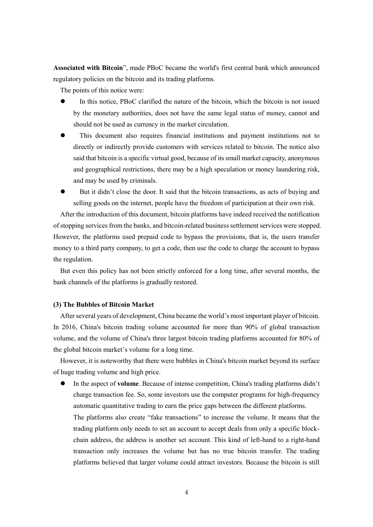**Associated with Bitcoin**", made PBoC became the world's first central bank which announced regulatory policies on the bitcoin and its trading platforms.

The points of this notice were:

- In this notice, PBoC clarified the nature of the bitcoin, which the bitcoin is not issued by the monetary authorities, does not have the same legal status of money, cannot and should not be used as currency in the market circulation.
- This document also requires financial institutions and payment institutions not to directly or indirectly provide customers with services related to bitcoin. The notice also said that bitcoin is a specific virtual good, because of its small market capacity, anonymous and geographical restrictions, there may be a high speculation or money laundering risk, and may be used by criminals.

 But it didn't close the door. It said that the bitcoin transactions, as acts of buying and selling goods on the internet, people have the freedom of participation at their own risk.

After the introduction of this document, bitcoin platforms have indeed received the notification of stopping services from the banks, and bitcoin-related business settlement services were stopped. However, the platforms used prepaid code to bypass the provisions, that is, the users transfer money to a third party company, to get a code, then use the code to charge the account to bypass the regulation.

But even this policy has not been strictly enforced for a long time, after several months, the bank channels of the platforms is gradually restored.

## **(3) The Bubbles of Bitcoin Market**

After several years of development, China became the world's most important player of bitcoin. In 2016, China's bitcoin trading volume accounted for more than 90% of global transaction volume, and the volume of China's three largest bitcoin trading platforms accounted for 80% of the global bitcoin market's volume for a long time.

However, it is noteworthy that there were bubbles in China's bitcoin market beyond its surface of huge trading volume and high price.

 In the aspect of **volume**. Because of intense competition, China's trading platforms didn't charge transaction fee. So, some investors use the computer programs for high-frequency automatic quantitative trading to earn the price gaps between the different platforms.

The platforms also create "fake transactions" to increase the volume. It means that the trading platform only needs to set an account to accept deals from only a specific blockchain address, the address is another set account. This kind of left-hand to a right-hand transaction only increases the volume but has no true bitcoin transfer. The trading platforms believed that larger volume could attract investors. Because the bitcoin is still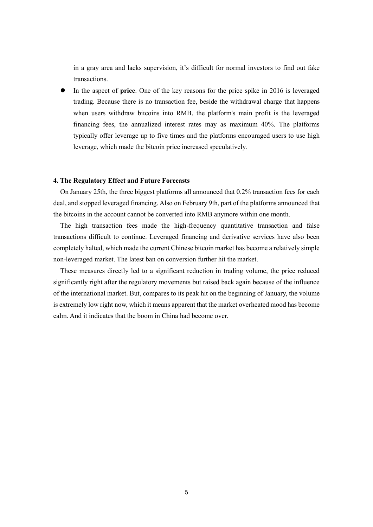in a gray area and lacks supervision, it's difficult for normal investors to find out fake transactions.

 In the aspect of **price**. One of the key reasons for the price spike in 2016 is leveraged trading. Because there is no transaction fee, beside the withdrawal charge that happens when users withdraw bitcoins into RMB, the platform's main profit is the leveraged financing fees, the annualized interest rates may as maximum 40%. The platforms typically offer leverage up to five times and the platforms encouraged users to use high leverage, which made the bitcoin price increased speculatively.

#### **4. The Regulatory Effect and Future Forecasts**

On January 25th, the three biggest platforms all announced that 0.2% transaction fees for each deal, and stopped leveraged financing. Also on February 9th, part of the platforms announced that the bitcoins in the account cannot be converted into RMB anymore within one month.

The high transaction fees made the high-frequency quantitative transaction and false transactions difficult to continue. Leveraged financing and derivative services have also been completely halted, which made the current Chinese bitcoin market has become a relatively simple non-leveraged market. The latest ban on conversion further hit the market.

These measures directly led to a significant reduction in trading volume, the price reduced significantly right after the regulatory movements but raised back again because of the influence of the international market. But, compares to its peak hit on the beginning of January, the volume is extremely low right now, which it means apparent that the market overheated mood has become calm. And it indicates that the boom in China had become over.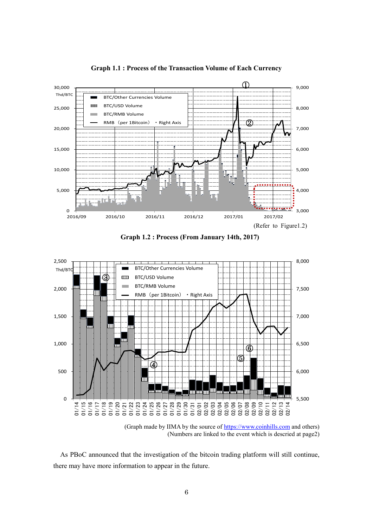

**Graph 1.1 : Process of the Transaction Volume of Each Currency**

**Graph 1.2 : Process (From January 14th, 2017)**



<sup>(</sup>Graph made by IIMA by the source of [https://www.coinhills.com](https://www.coinhills.com/) and others) (Numbers are linked to the event which is descried at page2)

As PBoC announced that the investigation of the bitcoin trading platform will still continue, there may have more information to appear in the future.